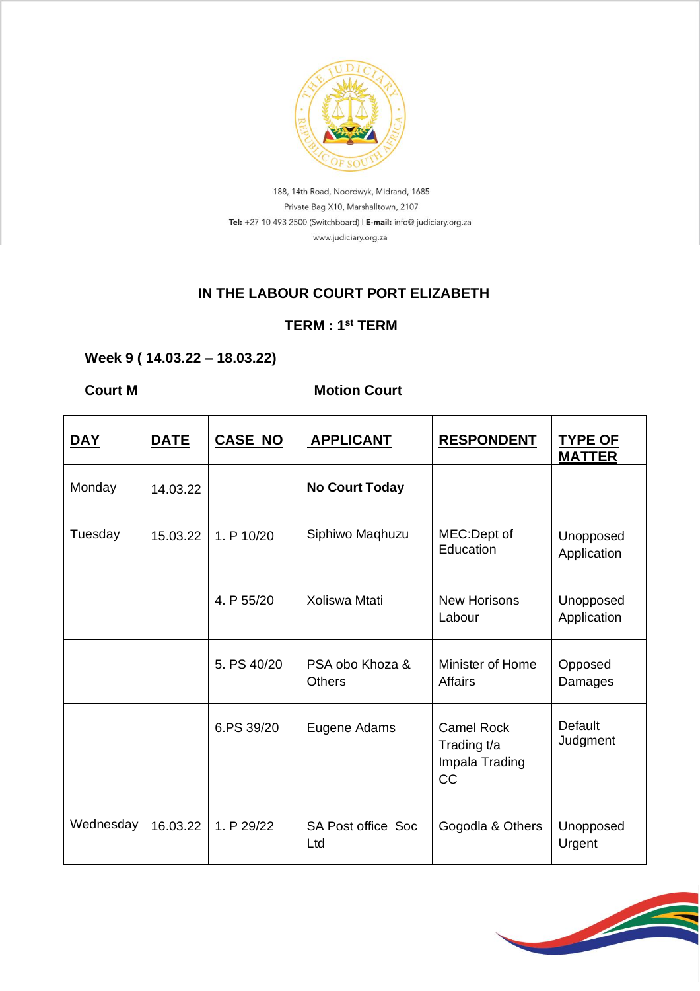

188, 14th Road, Noordwyk, Midrand, 1685 Private Bag X10, Marshalltown, 2107 Tel: +27 10 493 2500 (Switchboard) | E-mail: info@ judiciary.org.za www.judiciary.org.za

#### **IN THE LABOUR COURT PORT ELIZABETH**

### **TERM : 1st TERM**

## **Week 9 ( 14.03.22 – 18.03.22)**

# **Court M** Motion Court

| <u>DAY</u> | <b>DATE</b> | <b>CASE NO</b> | <b>APPLICANT</b>                 | <b>RESPONDENT</b>                                               | <b>TYPE OF</b><br><b>MATTER</b> |
|------------|-------------|----------------|----------------------------------|-----------------------------------------------------------------|---------------------------------|
| Monday     | 14.03.22    |                | <b>No Court Today</b>            |                                                                 |                                 |
| Tuesday    | 15.03.22    | 1. P 10/20     | Siphiwo Maqhuzu                  | MEC:Dept of<br>Education                                        | Unopposed<br>Application        |
|            |             | 4. P 55/20     | Xoliswa Mtati                    | <b>New Horisons</b><br>Labour                                   | Unopposed<br>Application        |
|            |             | 5. PS 40/20    | PSA obo Khoza &<br><b>Others</b> | Minister of Home<br><b>Affairs</b>                              | Opposed<br>Damages              |
|            |             | 6.PS 39/20     | Eugene Adams                     | <b>Camel Rock</b><br>Trading t/a<br>Impala Trading<br><b>CC</b> | Default<br>Judgment             |
| Wednesday  | 16.03.22    | 1. P 29/22     | <b>SA Post office Soc</b><br>Ltd | Gogodla & Others                                                | Unopposed<br>Urgent             |